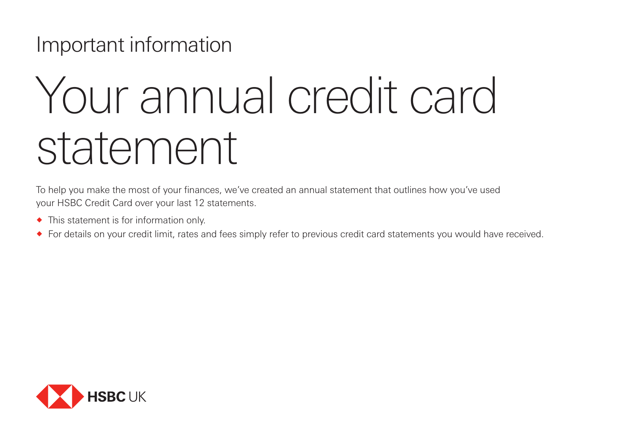**Important information** 

# Your annual credit card statement

To help you make the most of your finances, we've created an annual statement that outlines how you've used your HSBC Credit Card over your last 12 statements.

- ® This statement is for information only.
- ® For details on your credit limit, rates and fees simply refer to previous credit card statements you would have received.